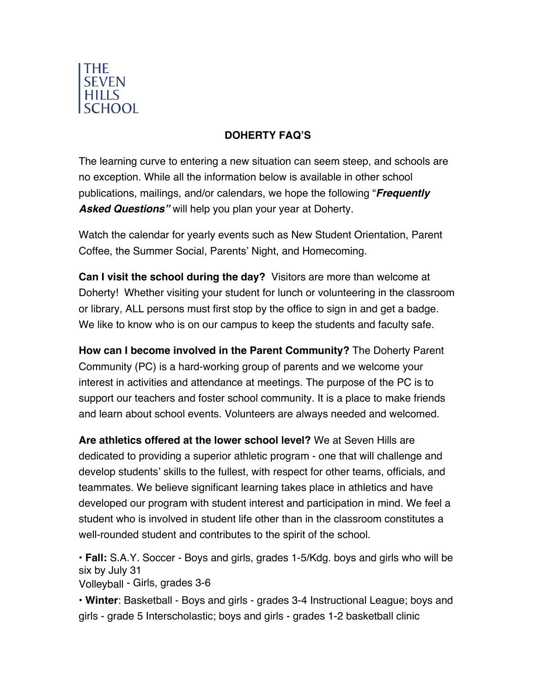

## **DOHERTY FAQ'S**

The learning curve to entering a new situation can seem steep, and schools are no exception. While all the information below is available in other school publications, mailings, and/or calendars, we hope the following "*Frequently Asked Questions"* will help you plan your year at Doherty.

Watch the calendar for yearly events such as New Student Orientation, Parent Coffee, the Summer Social, Parents' Night, and Homecoming.

**Can I visit the school during the day?** Visitors are more than welcome at Doherty! Whether visiting your student for lunch or volunteering in the classroom or library, ALL persons must first stop by the office to sign in and get a badge. We like to know who is on our campus to keep the students and faculty safe.

**How can I become involved in the Parent Community?** The Doherty Parent Community (PC) is a hard-working group of parents and we welcome your interest in activities and attendance at meetings. The purpose of the PC is to support our teachers and foster school community. It is a place to make friends and learn about school events. Volunteers are always needed and welcomed.

**Are athletics offered at the lower school level?** We at Seven Hills are dedicated to providing a superior athletic program - one that will challenge and develop students' skills to the fullest, with respect for other teams, officials, and teammates. We believe significant learning takes place in athletics and have developed our program with student interest and participation in mind. We feel a student who is involved in student life other than in the classroom constitutes a well-rounded student and contributes to the spirit of the school.

• **Fall:** S.A.Y. Soccer - Boys and girls, grades 1-5/Kdg. boys and girls who will be six by July 31

Volleyball - Girls, grades 3-6

• **Winter**: Basketball - Boys and girls - grades 3-4 Instructional League; boys and girls - grade 5 Interscholastic; boys and girls - grades 1-2 basketball clinic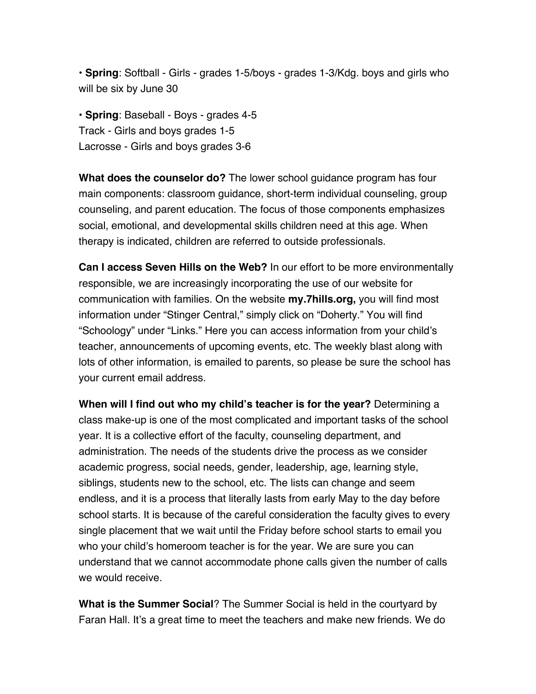• **Spring**: Softball - Girls - grades 1-5/boys - grades 1-3/Kdg. boys and girls who will be six by June 30

• **Spring**: Baseball - Boys - grades 4-5 Track - Girls and boys grades 1-5 Lacrosse - Girls and boys grades 3-6

**What does the counselor do?** The lower school guidance program has four main components: classroom guidance, short-term individual counseling, group counseling, and parent education. The focus of those components emphasizes social, emotional, and developmental skills children need at this age. When therapy is indicated, children are referred to outside professionals.

**Can I access Seven Hills on the Web?** In our effort to be more environmentally responsible, we are increasingly incorporating the use of our website for communication with families. On the website **my.7hills.org,** you will find most information under "Stinger Central," simply click on "Doherty." You will find "Schoology" under "Links." Here you can access information from your child's teacher, announcements of upcoming events, etc. The weekly blast along with lots of other information, is emailed to parents, so please be sure the school has your current email address.

**When will I find out who my child's teacher is for the year?** Determining a class make-up is one of the most complicated and important tasks of the school year. It is a collective effort of the faculty, counseling department, and administration. The needs of the students drive the process as we consider academic progress, social needs, gender, leadership, age, learning style, siblings, students new to the school, etc. The lists can change and seem endless, and it is a process that literally lasts from early May to the day before school starts. It is because of the careful consideration the faculty gives to every single placement that we wait until the Friday before school starts to email you who your child's homeroom teacher is for the year. We are sure you can understand that we cannot accommodate phone calls given the number of calls we would receive.

**What is the Summer Social**? The Summer Social is held in the courtyard by Faran Hall. It's a great time to meet the teachers and make new friends. We do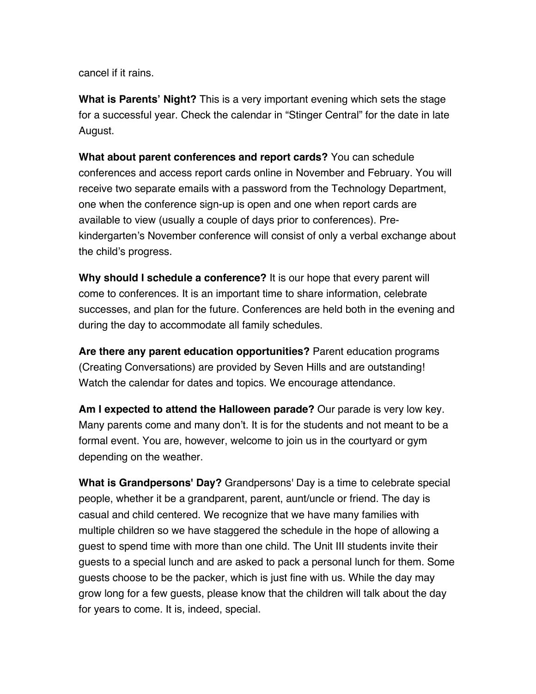cancel if it rains.

**What is Parents' Night?** This is a very important evening which sets the stage for a successful year. Check the calendar in "Stinger Central" for the date in late August.

**What about parent conferences and report cards?** You can schedule conferences and access report cards online in November and February. You will receive two separate emails with a password from the Technology Department, one when the conference sign-up is open and one when report cards are available to view (usually a couple of days prior to conferences). Prekindergarten's November conference will consist of only a verbal exchange about the child's progress.

**Why should I schedule a conference?** It is our hope that every parent will come to conferences. It is an important time to share information, celebrate successes, and plan for the future. Conferences are held both in the evening and during the day to accommodate all family schedules.

**Are there any parent education opportunities?** Parent education programs (Creating Conversations) are provided by Seven Hills and are outstanding! Watch the calendar for dates and topics. We encourage attendance.

**Am I expected to attend the Halloween parade?** Our parade is very low key. Many parents come and many don't. It is for the students and not meant to be a formal event. You are, however, welcome to join us in the courtyard or gym depending on the weather.

**What is Grandpersons' Day?** Grandpersons' Day is a time to celebrate special people, whether it be a grandparent, parent, aunt/uncle or friend. The day is casual and child centered. We recognize that we have many families with multiple children so we have staggered the schedule in the hope of allowing a guest to spend time with more than one child. The Unit III students invite their guests to a special lunch and are asked to pack a personal lunch for them. Some guests choose to be the packer, which is just fine with us. While the day may grow long for a few guests, please know that the children will talk about the day for years to come. It is, indeed, special.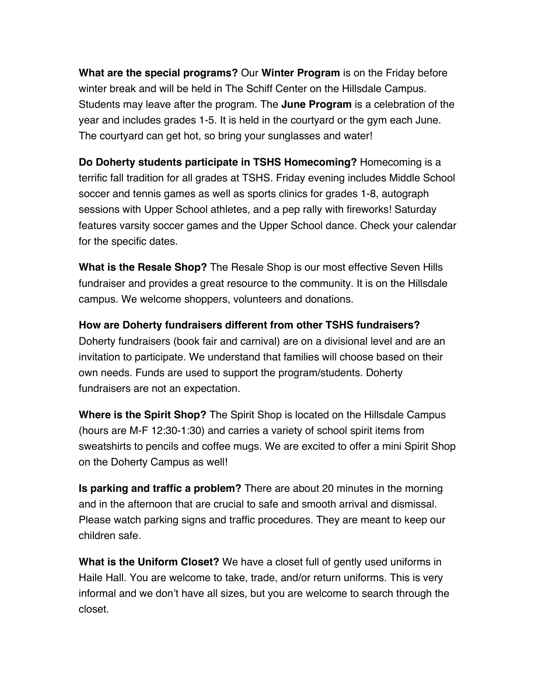**What are the special programs?** Our **Winter Program** is on the Friday before winter break and will be held in The Schiff Center on the Hillsdale Campus. Students may leave after the program. The **June Program** is a celebration of the year and includes grades 1-5. It is held in the courtyard or the gym each June. The courtyard can get hot, so bring your sunglasses and water!

**Do Doherty students participate in TSHS Homecoming?** Homecoming is a terrific fall tradition for all grades at TSHS. Friday evening includes Middle School soccer and tennis games as well as sports clinics for grades 1-8, autograph sessions with Upper School athletes, and a pep rally with fireworks! Saturday features varsity soccer games and the Upper School dance. Check your calendar for the specific dates.

**What is the Resale Shop?** The Resale Shop is our most effective Seven Hills fundraiser and provides a great resource to the community. It is on the Hillsdale campus. We welcome shoppers, volunteers and donations.

**How are Doherty fundraisers different from other TSHS fundraisers?**  Doherty fundraisers (book fair and carnival) are on a divisional level and are an invitation to participate. We understand that families will choose based on their own needs. Funds are used to support the program/students. Doherty fundraisers are not an expectation.

**Where is the Spirit Shop?** The Spirit Shop is located on the Hillsdale Campus (hours are M-F 12:30-1:30) and carries a variety of school spirit items from sweatshirts to pencils and coffee mugs. We are excited to offer a mini Spirit Shop on the Doherty Campus as well!

**Is parking and traffic a problem?** There are about 20 minutes in the morning and in the afternoon that are crucial to safe and smooth arrival and dismissal. Please watch parking signs and traffic procedures. They are meant to keep our children safe.

**What is the Uniform Closet?** We have a closet full of gently used uniforms in Haile Hall. You are welcome to take, trade, and/or return uniforms. This is very informal and we don't have all sizes, but you are welcome to search through the closet.